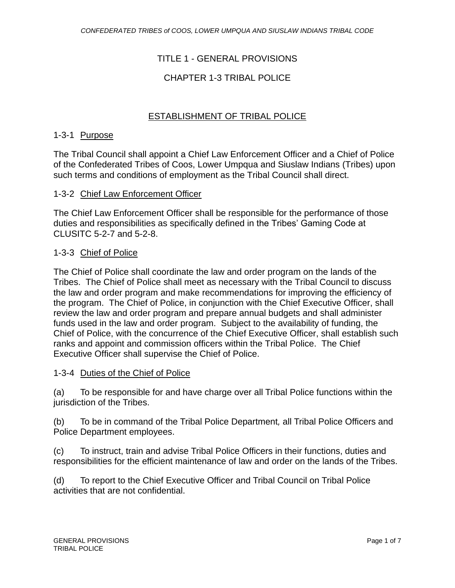# TITLE 1 - GENERAL PROVISIONS

# CHAPTER 1-3 TRIBAL POLICE

# ESTABLISHMENT OF TRIBAL POLICE

#### 1-3-1 Purpose

The Tribal Council shall appoint a Chief Law Enforcement Officer and a Chief of Police of the Confederated Tribes of Coos, Lower Umpqua and Siuslaw Indians (Tribes) upon such terms and conditions of employment as the Tribal Council shall direct.

#### 1-3-2 Chief Law Enforcement Officer

The Chief Law Enforcement Officer shall be responsible for the performance of those duties and responsibilities as specifically defined in the Tribes' Gaming Code at CLUSITC 5-2-7 and 5-2-8.

#### 1-3-3 Chief of Police

The Chief of Police shall coordinate the law and order program on the lands of the Tribes. The Chief of Police shall meet as necessary with the Tribal Council to discuss the law and order program and make recommendations for improving the efficiency of the program. The Chief of Police, in conjunction with the Chief Executive Officer, shall review the law and order program and prepare annual budgets and shall administer funds used in the law and order program. Subject to the availability of funding, the Chief of Police, with the concurrence of the Chief Executive Officer, shall establish such ranks and appoint and commission officers within the Tribal Police. The Chief Executive Officer shall supervise the Chief of Police.

#### 1-3-4 Duties of the Chief of Police

(a) To be responsible for and have charge over all Tribal Police functions within the jurisdiction of the Tribes.

(b) To be in command of the Tribal Police Department*,* all Tribal Police Officers and Police Department employees.

(c) To instruct, train and advise Tribal Police Officers in their functions, duties and responsibilities for the efficient maintenance of law and order on the lands of the Tribes.

(d) To report to the Chief Executive Officer and Tribal Council on Tribal Police activities that are not confidential.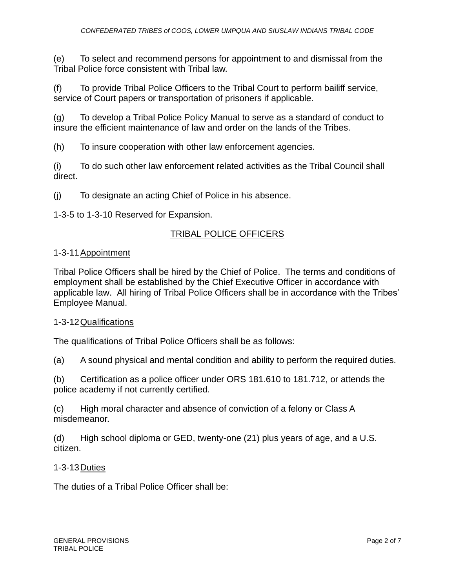(e) To select and recommend persons for appointment to and dismissal from the Tribal Police force consistent with Tribal law.

(f) To provide Tribal Police Officers to the Tribal Court to perform bailiff service, service of Court papers or transportation of prisoners if applicable.

(g) To develop a Tribal Police Policy Manual to serve as a standard of conduct to insure the efficient maintenance of law and order on the lands of the Tribes.

(h) To insure cooperation with other law enforcement agencies.

(i) To do such other law enforcement related activities as the Tribal Council shall direct.

(j) To designate an acting Chief of Police in his absence.

1-3-5 to 1-3-10 Reserved for Expansion.

# TRIBAL POLICE OFFICERS

#### 1-3-11 Appointment

Tribal Police Officers shall be hired by the Chief of Police. The terms and conditions of employment shall be established by the Chief Executive Officer in accordance with applicable law. All hiring of Tribal Police Officers shall be in accordance with the Tribes' Employee Manual.

## 1-3-12Qualifications

The qualifications of Tribal Police Officers shall be as follows:

(a) A sound physical and mental condition and ability to perform the required duties.

(b) Certification as a police officer under ORS 181.610 to 181.712, or attends the police academy if not currently certified*.*

(c) High moral character and absence of conviction of a felony or Class A misdemeanor.

(d) High school diploma or GED, twenty-one (21) plus years of age, and a U.S. citizen.

## 1-3-13Duties

The duties of a Tribal Police Officer shall be: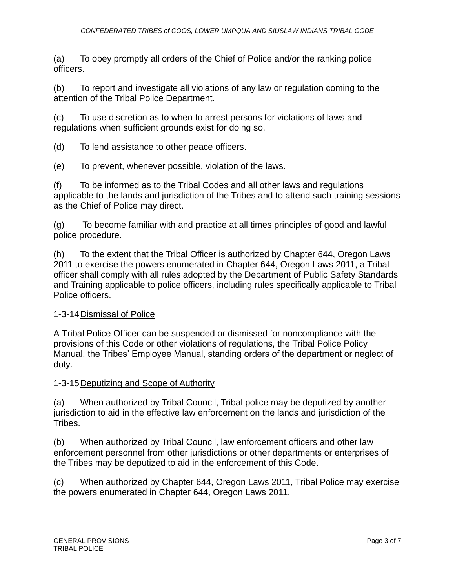(a) To obey promptly all orders of the Chief of Police and/or the ranking police officers.

(b) To report and investigate all violations of any law or regulation coming to the attention of the Tribal Police Department.

(c) To use discretion as to when to arrest persons for violations of laws and regulations when sufficient grounds exist for doing so.

(d) To lend assistance to other peace officers.

(e) To prevent, whenever possible, violation of the laws.

(f) To be informed as to the Tribal Codes and all other laws and regulations applicable to the lands and jurisdiction of the Tribes and to attend such training sessions as the Chief of Police may direct.

(g) To become familiar with and practice at all times principles of good and lawful police procedure.

(h) To the extent that the Tribal Officer is authorized by Chapter 644, Oregon Laws 2011 to exercise the powers enumerated in Chapter 644, Oregon Laws 2011, a Tribal officer shall comply with all rules adopted by the Department of Public Safety Standards and Training applicable to police officers, including rules specifically applicable to Tribal Police officers.

## 1-3-14Dismissal of Police

A Tribal Police Officer can be suspended or dismissed for noncompliance with the provisions of this Code or other violations of regulations, the Tribal Police Policy Manual, the Tribes' Employee Manual, standing orders of the department or neglect of duty.

#### 1-3-15Deputizing and Scope of Authority

(a) When authorized by Tribal Council, Tribal police may be deputized by another jurisdiction to aid in the effective law enforcement on the lands and jurisdiction of the Tribes.

(b) When authorized by Tribal Council, law enforcement officers and other law enforcement personnel from other jurisdictions or other departments or enterprises of the Tribes may be deputized to aid in the enforcement of this Code.

(c) When authorized by Chapter 644, Oregon Laws 2011, Tribal Police may exercise the powers enumerated in Chapter 644, Oregon Laws 2011.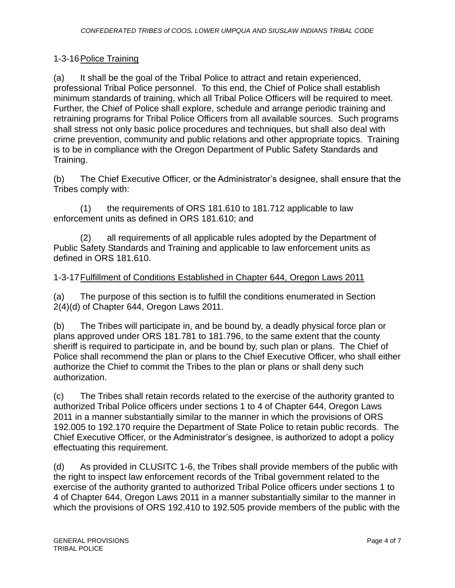# 1-3-16Police Training

(a) It shall be the goal of the Tribal Police to attract and retain experienced, professional Tribal Police personnel. To this end, the Chief of Police shall establish minimum standards of training, which all Tribal Police Officers will be required to meet. Further, the Chief of Police shall explore, schedule and arrange periodic training and retraining programs for Tribal Police Officers from all available sources. Such programs shall stress not only basic police procedures and techniques, but shall also deal with crime prevention, community and public relations and other appropriate topics. Training is to be in compliance with the Oregon Department of Public Safety Standards and Training.

(b) The Chief Executive Officer, or the Administrator's designee, shall ensure that the Tribes comply with:

(1) the requirements of ORS 181.610 to 181.712 applicable to law enforcement units as defined in ORS 181.610; and

(2) all requirements of all applicable rules adopted by the Department of Public Safety Standards and Training and applicable to law enforcement units as defined in ORS 181.610.

# 1-3-17Fulfillment of Conditions Established in Chapter 644, Oregon Laws 2011

(a) The purpose of this section is to fulfill the conditions enumerated in Section 2(4)(d) of Chapter 644, Oregon Laws 2011.

(b) The Tribes will participate in, and be bound by, a deadly physical force plan or plans approved under ORS 181.781 to 181.796, to the same extent that the county sheriff is required to participate in, and be bound by, such plan or plans. The Chief of Police shall recommend the plan or plans to the Chief Executive Officer, who shall either authorize the Chief to commit the Tribes to the plan or plans or shall deny such authorization.

(c) The Tribes shall retain records related to the exercise of the authority granted to authorized Tribal Police officers under sections 1 to 4 of Chapter 644, Oregon Laws 2011 in a manner substantially similar to the manner in which the provisions of ORS 192.005 to 192.170 require the Department of State Police to retain public records. The Chief Executive Officer, or the Administrator's designee, is authorized to adopt a policy effectuating this requirement.

(d) As provided in CLUSITC 1-6, the Tribes shall provide members of the public with the right to inspect law enforcement records of the Tribal government related to the exercise of the authority granted to authorized Tribal Police officers under sections 1 to 4 of Chapter 644, Oregon Laws 2011 in a manner substantially similar to the manner in which the provisions of ORS 192.410 to 192.505 provide members of the public with the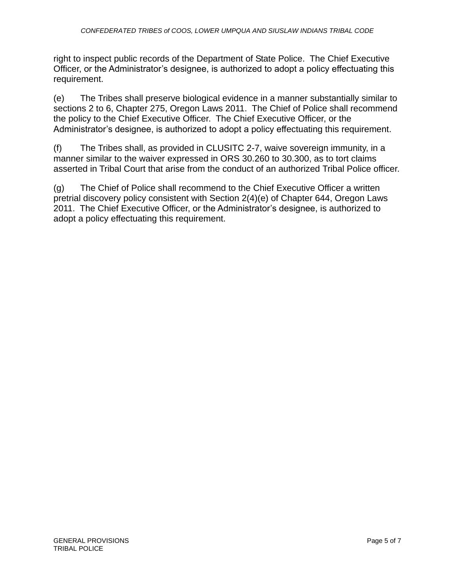right to inspect public records of the Department of State Police. The Chief Executive Officer, or the Administrator's designee, is authorized to adopt a policy effectuating this requirement.

(e) The Tribes shall preserve biological evidence in a manner substantially similar to sections 2 to 6, Chapter 275, Oregon Laws 2011. The Chief of Police shall recommend the policy to the Chief Executive Officer. The Chief Executive Officer, or the Administrator's designee, is authorized to adopt a policy effectuating this requirement.

(f) The Tribes shall, as provided in CLUSITC 2-7, waive sovereign immunity, in a manner similar to the waiver expressed in ORS 30.260 to 30.300, as to tort claims asserted in Tribal Court that arise from the conduct of an authorized Tribal Police officer.

(g) The Chief of Police shall recommend to the Chief Executive Officer a written pretrial discovery policy consistent with Section 2(4)(e) of Chapter 644, Oregon Laws 2011. The Chief Executive Officer, or the Administrator's designee, is authorized to adopt a policy effectuating this requirement.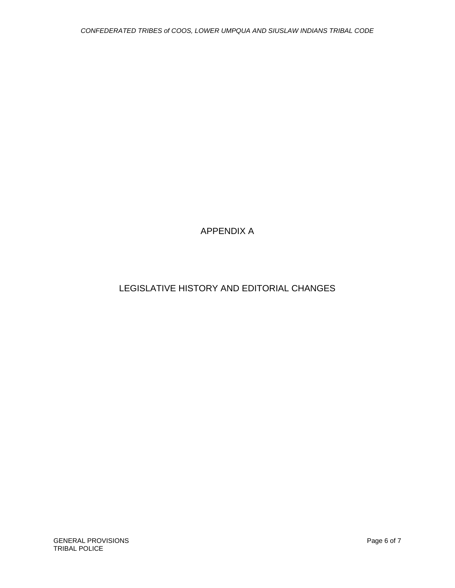APPENDIX A

# LEGISLATIVE HISTORY AND EDITORIAL CHANGES